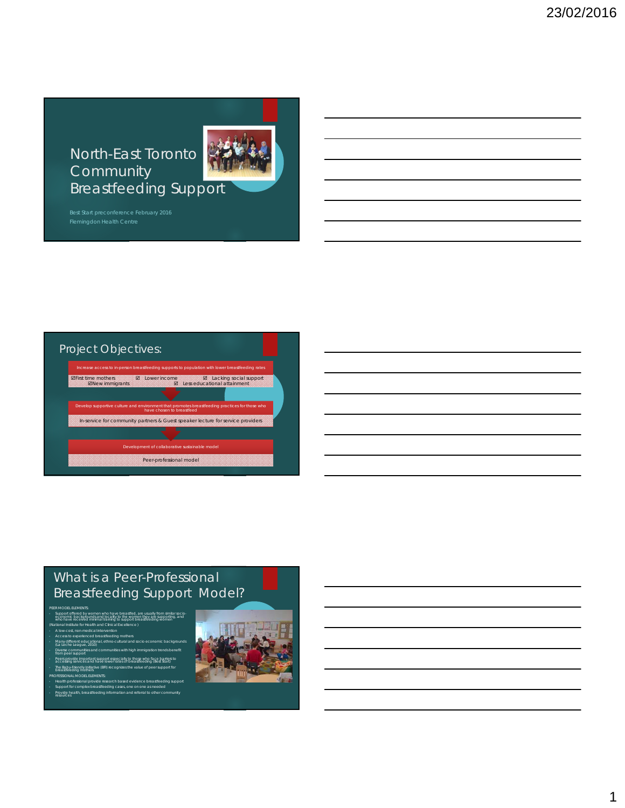North-East Toronto **Community** Breastfeeding Support



#### Project Objectives:

Development of collaborative sustainable model Peer-professional model have chosen to breastfeed In-service for community partners & Guest speaker lecture for service providers Increase access to in-person breastfeeding supports to population with lower breastfeeding rates **ØFirst time mothers**<br>**ØNew immigrants Ø Lower income Ø Lacking social support**<br>**Ø Less educational attainment** 

# What is a Peer-Professional Breastfeeding Support Model?

• Support offered by women who have breastfed, are usually from similar socio- economic backgrounds and locality to the women they are supporting, and who have received minimal training to support breastfeeding women

PEER MODEL ELEMENTS:

- (National Institute for Health and Clinical Excellence ) A low-cost, non-medical intervention • Access to experienced breastfeeding mothers • Many different educational, ethno-cultural and socio economic backgrounds (La Leche League, 2010)
- erse communities and con<br>m peer support
- provide important support especially to those who face barriers to<br>sing services and have lower rates of breastfeeding (Best Start)<br>aby Friendin Initiative (BEI) recognizes the value of peer support for • The Baby-Friendly Initiative (BFI) recognizes the value of peer support for breastfeeding mothers

- Health professional provide research based evidence breastfeeding support<br>- Support for complex breastfeeding cases, one on one as needed<br>- Provide health, breastfeeding information and referral to other community<br>- reso

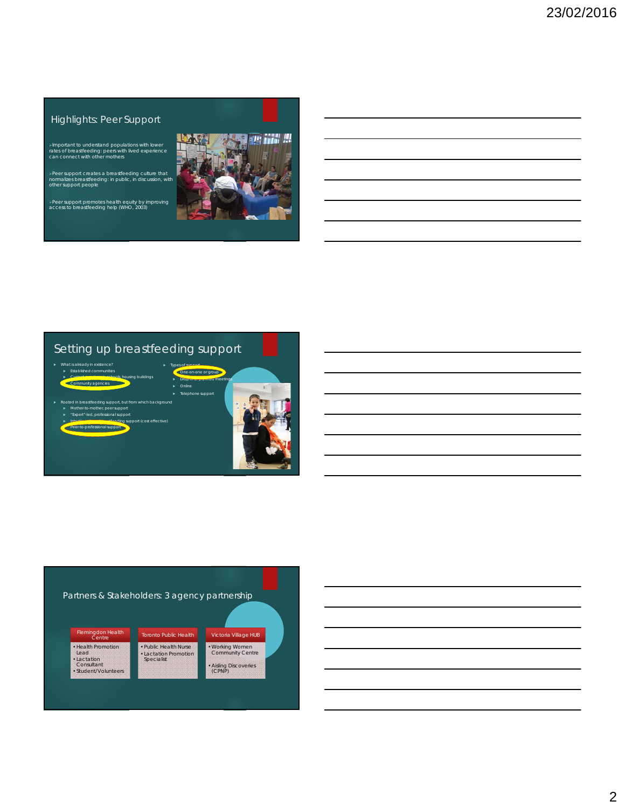#### Highlights: Peer Support

Important to understand populations with lower rates of breastfeeding: peers with lived experience can connect with other mothers

Peer support creates a breastfeeding culture that normalizes breastfeeding: in public, in discussion, with other support people

Peer support promotes health equity by improving access to breastfeeding help (WHO, 2003)



## Setting up breastfeeding support



#### Partners & Stakeholders: 3 agency partnership Flemingdon Health Centre • Health Promotion Lead •Lactation Consultant •Student/Volunteers Toronto Public Health •Public Health Nurse •Lactation Promotion Specialist Victoria Village HUB •Working Women Community Centre •Aisling Discoveries (CPNP)

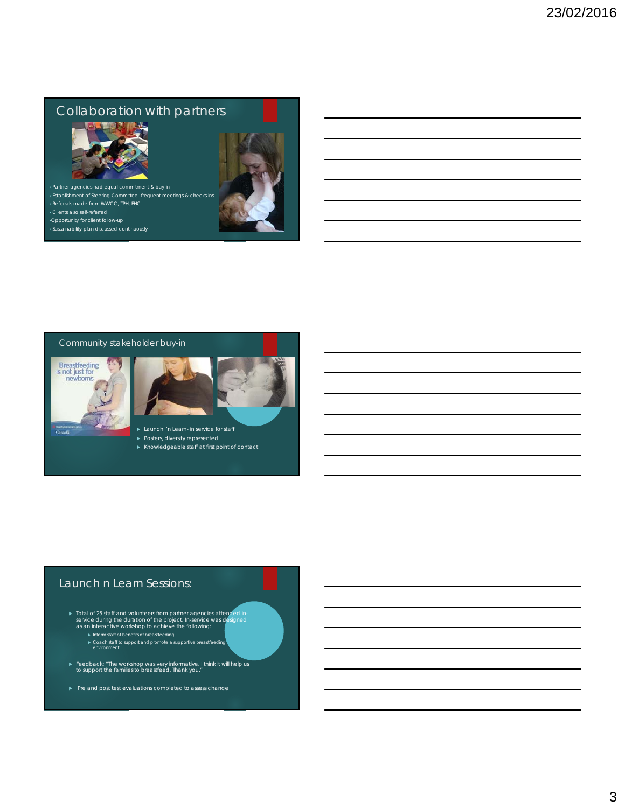# Collaboration with partners





- 
- 
- •Opportunity for client follow-up
- Sustainability plan discussed continuously



#### Community stakeholder buy-in





- **Launch 'n Learn- in service for staff**
- 
- Knowledgeable staff at first point of contact

#### Launch n Learn Sessions:

- ► Total of 25 staff and volunteers from partner agencies attended in-<br>service during the duration of the project. In-service was designed<br>as an interactive workshop to achieve the following:
	-
	- Coach staff to support and promote a supportive breastfeeding environment.
- Feedback: "The workshop was very informative. I think it will help us to support the families to breastfeed. Thank you."
- Pre and post test evaluations completed to assess change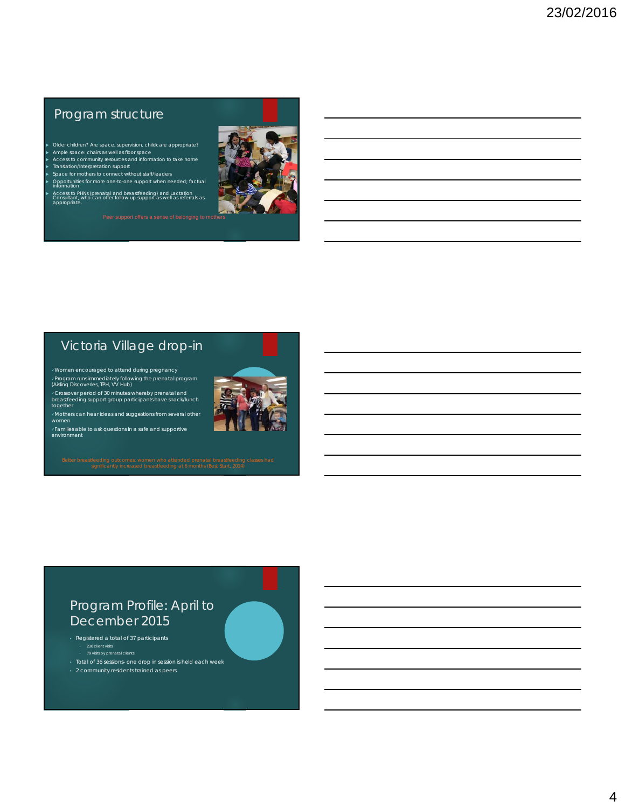# Program structure

- Older children? Are space, supervision, childcare appropriate? Ample space: chairs as well as floor space
- Access to community resources and information to take home Translation/Interpretation support
- ▶ Space for mothers to connect without staff/leaders<br>▶ Opportunities for more one-to-one support when needed; factual<br>Information
- Access to PHNs (prenatal and breastfeeding) and Lactation Consultant, who can offer follow up support as well as referrals as appropriate.
	-



## Victoria Village drop-in

√Program runs immediately following the prenatal program<br>(Aisling Discoveries, TPH, VV Hub)

√Crossover period of 30 minutes whereby prenatal and<br>breastfeeding support group participants have snack/lunch together

Mothers can hear ideas and suggestions from several other women

Families able to ask questions in a safe and supportive environment

### Program Profile: April to December 2015

- Registered a total of 37 participants • 236 client visits • 79 visits by prenatal clients
- 
- Total of 36 sessions- one drop in session is held each week
- 2 community residents trained as peers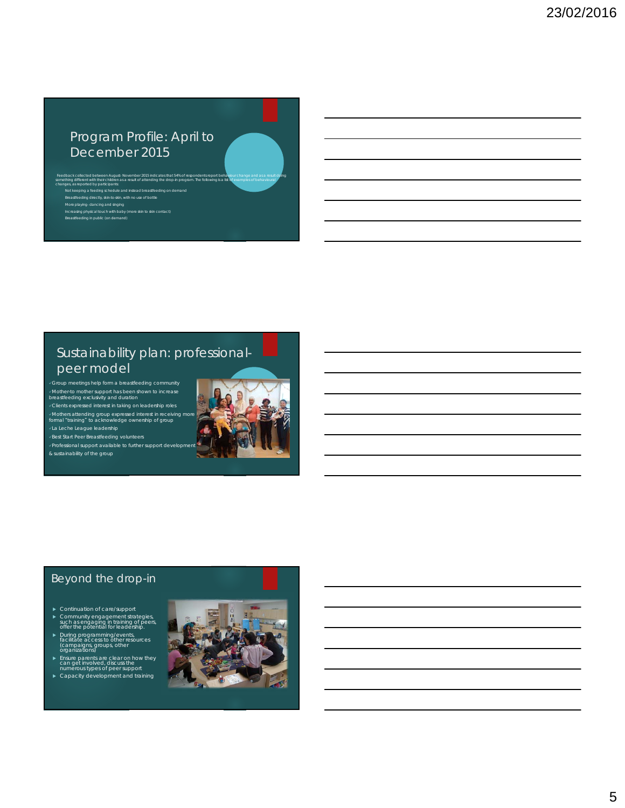# Program Profile: April to December 2015

Feedback collected between August- November 2015 indicates that 54% of respondents report behaviour change and as a result doing<br>something different with their children as a result of attending the drop-in program. The fol Breastfeeding directly, skin-to-skin, with no use of bottle<br>More playing- dancing and singing<br>Increasing physical touch with baby (more skin to skin contact)<br>Breastfeeding in public (on demand)

# Sustainability plan: professionalpeer model

Group meetings help form a breastfeeding community Mother-to mother support has been shown to increase breastfeeding exclusivity and duration Clients expressed interest in taking on leadership roles Mothers attending group expressed interest in receiving more formal "training" to acknowledge ownership of group



Professional support available to further support development & sustainability of the group



#### Beyond the drop-in

- Continuation of care/support
- Community engagement strategies, such as engaging in training of peers, offer the potential for leadership.
- During programming/events, facilitate access to other resources (campaigns, groups, other organizations)
- ► Ensure parents are clear on how they<br>can get involved, discuss the<br>numerous types of peer support<br>► Capacity development and training
-